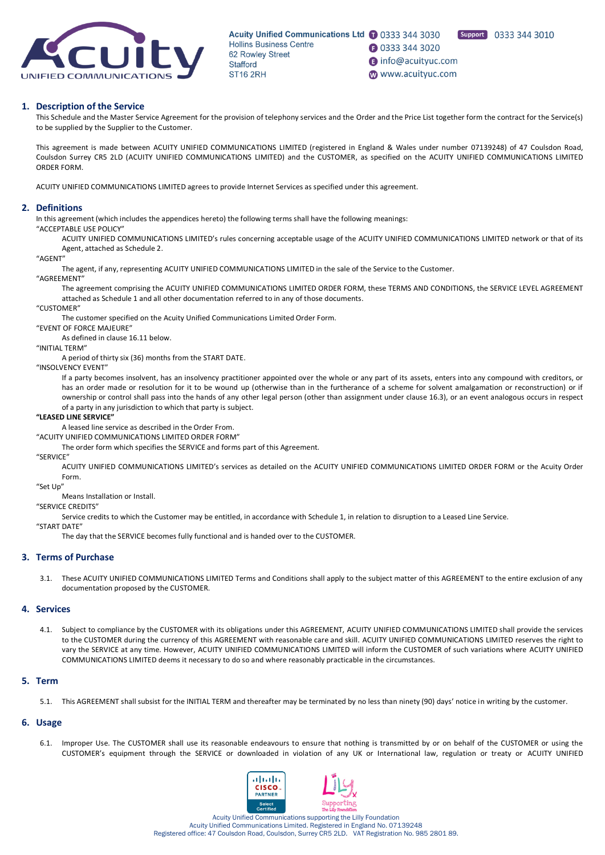

**1** 0333 344 3020 nfo@acuityuc.com www.acuityuc.com

Support 0333 344 3010

## **1. Description of the Service**

This Schedule and the Master Service Agreement for the provision of telephony services and the Order and the Price List together form the contract for the Service(s) to be supplied by the Supplier to the Customer.

This agreement is made between ACUITY UNIFIED COMMUNICATIONS LIMITED (registered in England & Wales under number 07139248) of 47 Coulsdon Road, Coulsdon Surrey CR5 2LD (ACUITY UNIFIED COMMUNICATIONS LIMITED) and the CUSTOMER, as specified on the ACUITY UNIFIED COMMUNICATIONS LIMITED ORDER FORM.

ACUITY UNIFIED COMMUNICATIONS LIMITED agrees to provide Internet Services as specified under this agreement.

### **2. Definitions**

In this agreement (which includes the appendices hereto) the following terms shall have the following meanings:

"ACCEPTABLE USE POLICY"

ACUITY UNIFIED COMMUNICATIONS LIMITED's rules concerning acceptable usage of the ACUITY UNIFIED COMMUNICATIONS LIMITED network or that of its Agent, attached as Schedule 2.

#### "AGENT"

The agent, if any, representing ACUITY UNIFIED COMMUNICATIONS LIMITED in the sale of the Service to the Customer.

"AGREEMENT"

The agreement comprising the ACUITY UNIFIED COMMUNICATIONS LIMITED ORDER FORM, these TERMS AND CONDITIONS, the SERVICE LEVEL AGREEMENT attached as Schedule 1 and all other documentation referred to in any of those documents.

### "CUSTOMER"

The customer specified on the Acuity Unified Communications Limited Order Form.

"EVENT OF FORCE MAJEURE"

As defined in clause 16.11 below.

## "INITIAL TERM"

A period of thirty six (36) months from the START DATE.

#### "INSOLVENCY EVENT"

If a party becomes insolvent, has an insolvency practitioner appointed over the whole or any part of its assets, enters into any compound with creditors, or has an order made or resolution for it to be wound up (otherwise than in the furtherance of a scheme for solvent amalgamation or reconstruction) or if ownership or control shall pass into the hands of any other legal person (other than assignment under clause 16.3), or an event analogous occurs in respect of a party in any jurisdiction to which that party is subject.

#### **"LEASED LINE SERVICE"**

A leased line service as described in the Order From.

"ACUITY UNIFIED COMMUNICATIONS LIMITED ORDER FORM"

The order form which specifies the SERVICE and forms part of this Agreement.

"SERVICE"

ACUITY UNIFIED COMMUNICATIONS LIMITED's services as detailed on the ACUITY UNIFIED COMMUNICATIONS LIMITED ORDER FORM or the Acuity Order Form.

"Set Up"

Means Installation or Install.

# "SERVICE CREDITS"

Service credits to which the Customer may be entitled, in accordance with Schedule 1, in relation to disruption to a Leased Line Service.

"START DATE"

The day that the SERVICE becomes fully functional and is handed over to the CUSTOMER.

### **3. Terms of Purchase**

3.1. These ACUITY UNIFIED COMMUNICATIONS LIMITED Terms and Conditions shall apply to the subject matter of this AGREEMENT to the entire exclusion of any documentation proposed by the CUSTOMER.

#### **4. Services**

4.1. Subject to compliance by the CUSTOMER with its obligations under this AGREEMENT, ACUITY UNIFIED COMMUNICATIONS LIMITED shall provide the services to the CUSTOMER during the currency of this AGREEMENT with reasonable care and skill. ACUITY UNIFIED COMMUNICATIONS LIMITED reserves the right to vary the SERVICE at any time. However, ACUITY UNIFIED COMMUNICATIONS LIMITED will inform the CUSTOMER of such variations where ACUITY UNIFIED COMMUNICATIONS LIMITED deems it necessary to do so and where reasonably practicable in the circumstances.

## **5. Term**

5.1. This AGREEMENT shall subsist for the INITIAL TERM and thereafter may be terminated by no less than ninety (90) days' notice in writing by the customer.

### **6. Usage**

6.1. Improper Use. The CUSTOMER shall use its reasonable endeavours to ensure that nothing is transmitted by or on behalf of the CUSTOMER or using the CUSTOMER's equipment through the SERVICE or downloaded in violation of any UK or International law, regulation or treaty or ACUITY UNIFIED

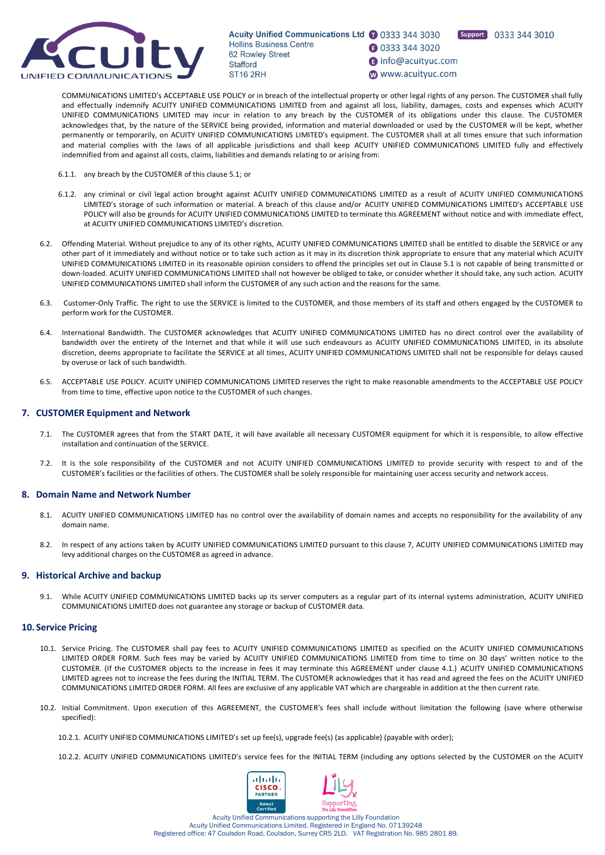

**1** 0333 344 3020

Support 0333 344 3010

nfo@acuityuc.com www.acuityuc.com

COMMUNICATIONS LIMITED's ACCEPTABLE USE POLICY or in breach of the intellectual property or other legal rights of any person. The CUSTOMER shall fully and effectually indemnify ACUITY UNIFIED COMMUNICATIONS LIMITED from and against all loss, liability, damages, costs and expenses which ACUITY UNIFIED COMMUNICATIONS LIMITED may incur in relation to any breach by the CUSTOMER of its obligations under this clause. The CUSTOMER acknowledges that, by the nature of the SERVICE being provided, information and material downloaded or used by the CUSTOMER will be kept, whether permanently or temporarily, on ACUITY UNIFIED COMMUNICATIONS LIMITED's equipment. The CUSTOMER shall at all times ensure that such information and material complies with the laws of all applicable jurisdictions and shall keep ACUITY UNIFIED COMMUNICATIONS LIMITED fully and effectively indemnified from and against all costs, claims, liabilities and demands relating to or arising from:

- 6.1.1. any breach by the CUSTOMER of this clause 5.1; or
- 6.1.2. any criminal or civil legal action brought against ACUITY UNIFIED COMMUNICATIONS LIMITED as a result of ACUITY UNIFIED COMMUNICATIONS LIMITED's storage of such information or material. A breach of this clause and/or ACUITY UNIFIED COMMUNICATIONS LIMITED's ACCEPTABLE USE POLICY will also be grounds for ACUITY UNIFIED COMMUNICATIONS LIMITED to terminate this AGREEMENT without notice and with immediate effect, at ACUITY UNIFIED COMMUNICATIONS LIMITED's discretion.
- 6.2. Offending Material. Without prejudice to any of its other rights, ACUITY UNIFIED COMMUNICATIONS LIMITED shall be entitled to disable the SERVICE or any other part of it immediately and without notice or to take such action as it may in its discretion think appropriate to ensure that any material which ACUITY UNIFIED COMMUNICATIONS LIMITED in its reasonable opinion considers to offend the principles set out in Clause 5.1 is not capable of being transmitted or down-loaded. ACUITY UNIFIED COMMUNICATIONS LIMITED shall not however be obliged to take, or consider whether it should take, any such action. ACUITY UNIFIED COMMUNICATIONS LIMITED shall inform the CUSTOMER of any such action and the reasons for the same.
- 6.3. Customer-Only Traffic. The right to use the SERVICE is limited to the CUSTOMER, and those members of its staff and others engaged by the CUSTOMER to perform work for the CUSTOMER.
- 6.4. International Bandwidth. The CUSTOMER acknowledges that ACUITY UNIFIED COMMUNICATIONS LIMITED has no direct control over the availability of bandwidth over the entirety of the Internet and that while it will use such endeavours as ACUITY UNIFIED COMMUNICATIONS LIMITED, in its absolute discretion, deems appropriate to facilitate the SERVICE at all times, ACUITY UNIFIED COMMUNICATIONS LIMITED shall not be responsible for delays caused by overuse or lack of such bandwidth.
- 6.5. ACCEPTABLE USE POLICY. ACUITY UNIFIED COMMUNICATIONS LIMITED reserves the right to make reasonable amendments to the ACCEPTABLE USE POLICY from time to time, effective upon notice to the CUSTOMER of such changes.

## **7. CUSTOMER Equipment and Network**

- 7.1. The CUSTOMER agrees that from the START DATE, it will have available all necessary CUSTOMER equipment for which it is responsible, to allow effective installation and continuation of the SERVICE.
- 7.2. It is the sole responsibility of the CUSTOMER and not ACUITY UNIFIED COMMUNICATIONS LIMITED to provide security with respect to and of the CUSTOMER's facilities or the facilities of others. The CUSTOMER shall be solely responsible for maintaining user access security and network access.

### **8. Domain Name and Network Number**

- 8.1. ACUITY UNIFIED COMMUNICATIONS LIMITED has no control over the availability of domain names and accepts no responsibility for the availability of any domain name.
- 8.2. In respect of any actions taken by ACUITY UNIFIED COMMUNICATIONS LIMITED pursuant to this clause 7, ACUITY UNIFIED COMMUNICATIONS LIMITED may levy additional charges on the CUSTOMER as agreed in advance.

### **9. Historical Archive and backup**

9.1. While ACUITY UNIFIED COMMUNICATIONS LIMITED backs up its server computers as a regular part of its internal systems administration, ACUITY UNIFIED COMMUNICATIONS LIMITED does not guarantee any storage or backup of CUSTOMER data.

## **10. Service Pricing**

- 10.1. Service Pricing. The CUSTOMER shall pay fees to ACUITY UNIFIED COMMUNICATIONS LIMITED as specified on the ACUITY UNIFIED COMMUNICATIONS LIMITED ORDER FORM. Such fees may be varied by ACUITY UNIFIED COMMUNICATIONS LIMITED from time to time on 30 days' written notice to the CUSTOMER. (If the CUSTOMER objects to the increase in fees it may terminate this AGREEMENT under clause 4.1.) ACUITY UNIFIED COMMUNICATIONS LIMITED agrees not to increase the fees during the INITIAL TERM. The CUSTOMER acknowledges that it has read and agreed the fees on the ACUITY UNIFIED COMMUNICATIONS LIMITED ORDER FORM. All fees are exclusive of any applicable VAT which are chargeable in addition at the then current rate.
- 10.2. Initial Commitment. Upon execution of this AGREEMENT, the CUSTOMER's fees shall include without limitation the following (save where otherwise specified):

10.2.1. ACUITY UNIFIED COMMUNICATIONS LIMITED's set up fee(s), upgrade fee(s) (as applicable) (payable with order);

10.2.2. ACUITY UNIFIED COMMUNICATIONS LIMITED's service fees for the INITIAL TERM (including any options selected by the CUSTOMER on the ACUITY

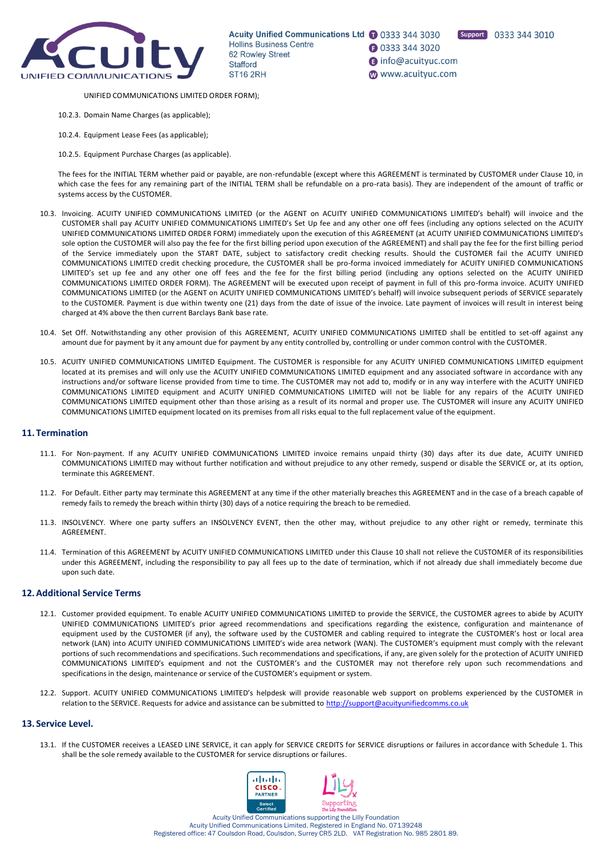

Support 0333 344 3010

**1** 0333 344 3020

nfo@acuityuc.com

www.acuityuc.com

- UNIFIED COMMUNICATIONS LIMITED ORDER FORM);
- 10.2.3. Domain Name Charges (as applicable);
- 10.2.4. Equipment Lease Fees (as applicable);
- 10.2.5. Equipment Purchase Charges (as applicable).

The fees for the INITIAL TERM whether paid or payable, are non-refundable (except where this AGREEMENT is terminated by CUSTOMER under Clause 10, in which case the fees for any remaining part of the INITIAL TERM shall be refundable on a pro-rata basis). They are independent of the amount of traffic or systems access by the CUSTOMER.

- 10.3. Invoicing. ACUITY UNIFIED COMMUNICATIONS LIMITED (or the AGENT on ACUITY UNIFIED COMMUNICATIONS LIMITED's behalf) will invoice and the CUSTOMER shall pay ACUITY UNIFIED COMMUNICATIONS LIMITED's Set Up fee and any other one off fees (including any options selected on the ACUITY UNIFIED COMMUNICATIONS LIMITED ORDER FORM) immediately upon the execution of this AGREEMENT (at ACUITY UNIFIED COMMUNICATIONS LIMITED's sole option the CUSTOMER will also pay the fee for the first billing period upon execution of the AGREEMENT) and shall pay the fee for the first billing period of the Service immediately upon the START DATE, subject to satisfactory credit checking results. Should the CUSTOMER fail the ACUITY UNIFIED COMMUNICATIONS LIMITED credit checking procedure, the CUSTOMER shall be pro-forma invoiced immediately for ACUITY UNIFIED COMMUNICATIONS LIMITED's set up fee and any other one off fees and the fee for the first billing period (including any options selected on the ACUITY UNIFIED COMMUNICATIONS LIMITED ORDER FORM). The AGREEMENT will be executed upon receipt of payment in full of this pro-forma invoice. ACUITY UNIFIED COMMUNICATIONS LIMITED (or the AGENT on ACUITY UNIFIED COMMUNICATIONS LIMITED's behalf) will invoice subsequent periods of SERVICE separately to the CUSTOMER. Payment is due within twenty one (21) days from the date of issue of the invoice. Late payment of invoices will result in interest being charged at 4% above the then current Barclays Bank base rate.
- 10.4. Set Off. Notwithstanding any other provision of this AGREEMENT, ACUITY UNIFIED COMMUNICATIONS LIMITED shall be entitled to set-off against any amount due for payment by it any amount due for payment by any entity controlled by, controlling or under common control with the CUSTOMER.
- 10.5. ACUITY UNIFIED COMMUNICATIONS LIMITED Equipment. The CUSTOMER is responsible for any ACUITY UNIFIED COMMUNICATIONS LIMITED equipment located at its premises and will only use the ACUITY UNIFIED COMMUNICATIONS LIMITED equipment and any associated software in accordance with any instructions and/or software license provided from time to time. The CUSTOMER may not add to, modify or in any way interfere with the ACUITY UNIFIED COMMUNICATIONS LIMITED equipment and ACUITY UNIFIED COMMUNICATIONS LIMITED will not be liable for any repairs of the ACUITY UNIFIED COMMUNICATIONS LIMITED equipment other than those arising as a result of its normal and proper use. The CUSTOMER will insure any ACUITY UNIFIED COMMUNICATIONS LIMITED equipment located on its premises from all risks equal to the full replacement value of the equipment.

### **11. Termination**

- 11.1. For Non-payment. If any ACUITY UNIFIED COMMUNICATIONS LIMITED invoice remains unpaid thirty (30) days after its due date, ACUITY UNIFIED COMMUNICATIONS LIMITED may without further notification and without prejudice to any other remedy, suspend or disable the SERVICE or, at its option, terminate this AGREEMENT.
- 11.2. For Default. Either party may terminate this AGREEMENT at any time if the other materially breaches this AGREEMENT and in the case of a breach capable of remedy fails to remedy the breach within thirty (30) days of a notice requiring the breach to be remedied.
- 11.3. INSOLVENCY. Where one party suffers an INSOLVENCY EVENT, then the other may, without prejudice to any other right or remedy, terminate this AGREEMENT.
- 11.4. Termination of this AGREEMENT by ACUITY UNIFIED COMMUNICATIONS LIMITED under this Clause 10 shall not relieve the CUSTOMER of its responsibilities under this AGREEMENT, including the responsibility to pay all fees up to the date of termination, which if not already due shall immediately become due upon such date.

## **12.Additional Service Terms**

- 12.1. Customer provided equipment. To enable ACUITY UNIFIED COMMUNICATIONS LIMITED to provide the SERVICE, the CUSTOMER agrees to abide by ACUITY UNIFIED COMMUNICATIONS LIMITED's prior agreed recommendations and specifications regarding the existence, configuration and maintenance of equipment used by the CUSTOMER (if any), the software used by the CUSTOMER and cabling required to integrate the CUSTOMER's host or local area network (LAN) into ACUITY UNIFIED COMMUNICATIONS LIMITED's wide area network (WAN). The CUSTOMER's equipment must comply with the relevant portions of such recommendations and specifications. Such recommendations and specifications, if any, are given solely for the protection of ACUITY UNIFIED COMMUNICATIONS LIMITED's equipment and not the CUSTOMER's and the CUSTOMER may not therefore rely upon such recommendations and specifications in the design, maintenance or service of the CUSTOMER's equipment or system.
- 12.2. Support. ACUITY UNIFIED COMMUNICATIONS LIMITED's helpdesk will provide reasonable web support on problems experienced by the CUSTOMER in relation to the SERVICE. Requests for advice and assistance can be submitted to<http://support@acuityunifiedcomms.co.uk>

#### **13. Service Level.**

13.1. If the CUSTOMER receives a LEASED LINE SERVICE, it can apply for SERVICE CREDITS for SERVICE disruptions or failures in accordance with Schedule 1. This shall be the sole remedy available to the CUSTOMER for service disruptions or failures.

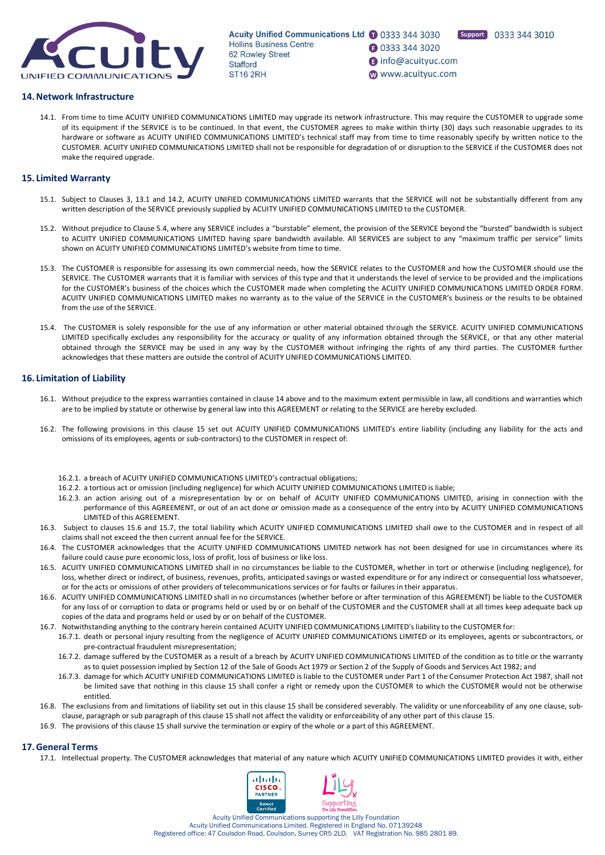

**1** 0333 344 3020 nfo@acuityuc.com www.acuityuc.com



## **14.Network Infrastructure**

14.1. From time to time ACUITY UNIFIED COMMUNICATIONS LIMITED may upgrade its network infrastructure. This may require the CUSTOMER to upgrade some of its equipment if the SERVICE is to be continued. In that event, the CUSTOMER agrees to make within thirty (30) days such reasonable upgrades to its hardware or software as ACUITY UNIFIED COMMUNICATIONS LIMITED's technical staff may from time to time reasonably specify by written notice to the CUSTOMER. ACUITY UNIFIED COMMUNICATIONS LIMITED shall not be responsible for degradation of or disruption to the SERVICE if the CUSTOMER does not make the required upgrade.

## **15. Limited Warranty**

- 15.1. Subject to Clauses 3, 13.1 and 14.2, ACUITY UNIFIED COMMUNICATIONS LIMITED warrants that the SERVICE will not be substantially different from any written description of the SERVICE previously supplied by ACUITY UNIFIED COMMUNICATIONS LIMITED to the CUSTOMER.
- 15.2. Without prejudice to Clause 5.4, where any SERVICE includes a "burstable" element, the provision of the SERVICE beyond the "bursted" bandwidth is subject to ACUITY UNIFIED COMMUNICATIONS LIMITED having spare bandwidth available. All SERVICES are subject to any "maximum traffic per service" limits shown on ACUITY UNIFIED COMMUNICATIONS LIMITED's website from time to time.
- 15.3. The CUSTOMER is responsible for assessing its own commercial needs, how the SERVICE relates to the CUSTOMER and how the CUSTOMER should use the SERVICE. The CUSTOMER warrants that it is familiar with services of this type and that it understands the level of service to be provided and the implications for the CUSTOMER's business of the choices which the CUSTOMER made when completing the ACUITY UNIFIED COMMUNICATIONS LIMITED ORDER FORM. ACUITY UNIFIED COMMUNICATIONS LIMITED makes no warranty as to the value of the SERVICE in the CUSTOMER's business or the results to be obtained from the use of the SERVICE.
- 15.4. The CUSTOMER is solely responsible for the use of any information or other material obtained through the SERVICE. ACUITY UNIFIED COMMUNICATIONS LIMITED specifically excludes any responsibility for the accuracy or quality of any information obtained through the SERVICE, or that any other material obtained through the SERVICE may be used in any way by the CUSTOMER without infringing the rights of any third parties. The CUSTOMER further acknowledges that these matters are outside the control of ACUITY UNIFIED COMMUNICATIONS LIMITED.

## **16. Limitation of Liability**

- 16.1. Without prejudice to the express warranties contained in clause 14 above and to the maximum extent permissible in law, all conditions and warranties which are to be implied by statute or otherwise by general law into this AGREEMENT or relating to the SERVICE are hereby excluded.
- 16.2. The following provisions in this clause 15 set out ACUITY UNIFIED COMMUNICATIONS LIMITED's entire liability (including any liability for the acts and omissions of its employees, agents or sub-contractors) to the CUSTOMER in respect of:
	- 16.2.1. a breach of ACUITY UNIFIED COMMUNICATIONS LIMITED's contractual obligations;
	- 16.2.2. a tortious act or omission (including negligence) for which ACUITY UNIFIED COMMUNICATIONS LIMITED is liable;
	- 16.2.3. an action arising out of a misrepresentation by or on behalf of ACUITY UNIFIED COMMUNICATIONS LIMITED, arising in connection with the performance of this AGREEMENT, or out of an act done or omission made as a consequence of the entry into by ACUITY UNIFIED COMMUNICATIONS LIMITED of this AGREEMENT.
- 16.3. Subject to clauses 15.6 and 15.7, the total liability which ACUITY UNIFIED COMMUNICATIONS LIMITED shall owe to the CUSTOMER and in respect of all claims shall not exceed the then current annual fee for the SERVICE.
- 16.4. The CUSTOMER acknowledges that the ACUITY UNIFIED COMMUNICATIONS LIMITED network has not been designed for use in circumstances where its failure could cause pure economic loss, loss of profit, loss of business or like loss.
- 16.5. ACUITY UNIFIED COMMUNICATIONS LIMITED shall in no circumstances be liable to the CUSTOMER, whether in tort or otherwise (including negligence), for loss, whether direct or indirect, of business, revenues, profits, anticipated savings or wasted expenditure or for any indirect or consequential loss whatsoever, or for the acts or omissions of other providers of telecommunications services or for faults or failures in their apparatus.
- 16.6. ACUITY UNIFIED COMMUNICATIONS LIMITED shall in no circumstances (whether before or after termination of this AGREEMENT) be liable to the CUSTOMER for any loss of or corruption to data or programs held or used by or on behalf of the CUSTOMER and the CUSTOMER shall at all times keep adequate back up copies of the data and programs held or used by or on behalf of the CUSTOMER.
- 16.7. Notwithstanding anything to the contrary herein contained ACUITY UNIFIED COMMUNICATIONS LIMITED's liability to the CUSTOMER for:
	- 16.7.1. death or personal injury resulting from the negligence of ACUITY UNIFIED COMMUNICATIONS LIMITED or its employees, agents or subcontractors, or pre-contractual fraudulent misrepresentation;
	- 16.7.2. damage suffered by the CUSTOMER as a result of a breach by ACUITY UNIFIED COMMUNICATIONS LIMITED of the condition as to title or the warranty as to quiet possession implied by Section 12 of the Sale of Goods Act 1979 or Section 2 of the Supply of Goods and Services Act 1982; and
	- 16.7.3. damage for which ACUITY UNIFIED COMMUNICATIONS LIMITED is liable to the CUSTOMER under Part 1 of the Consumer Protection Act 1987, shall not be limited save that nothing in this clause 15 shall confer a right or remedy upon the CUSTOMER to which the CUSTOMER would not be otherwise entitled.
- 16.8. The exclusions from and limitations of liability set out in this clause 15 shall be considered severably. The validity or une nforceability of any one clause, subclause, paragraph or sub paragraph of this clause 15 shall not affect the validity or enforceability of any other part of this clause 15.
- 16.9. The provisions of this clause 15 shall survive the termination or expiry of the whole or a part of this AGREEMENT.

## **17.General Terms**

17.1. Intellectual property. The CUSTOMER acknowledges that material of any nature which ACUITY UNIFIED COMMUNICATIONS LIMITED provides it with, either

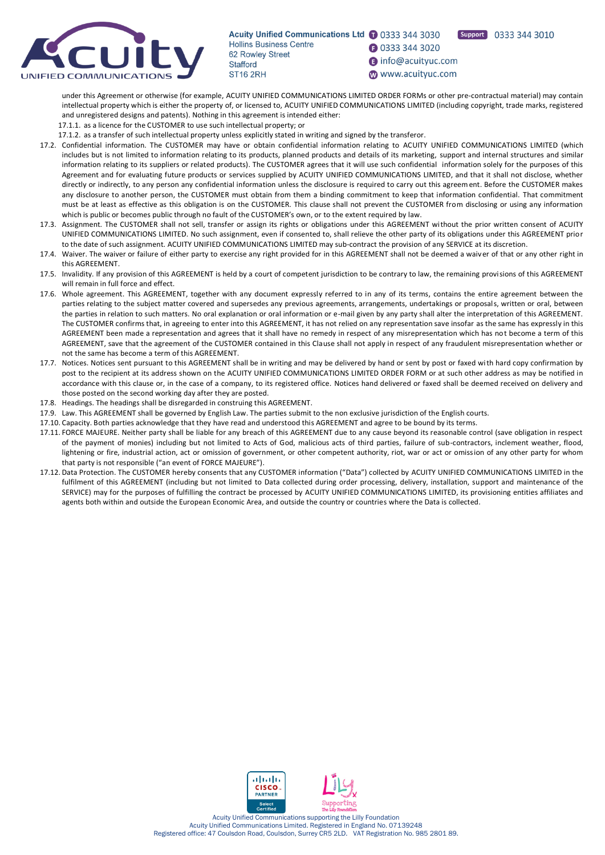

Support 0333 344 3010

**1** 0333 344 3020

nfo@acuityuc.com

www.acuityuc.com

under this Agreement or otherwise (for example, ACUITY UNIFIED COMMUNICATIONS LIMITED ORDER FORMs or other pre-contractual material) may contain intellectual property which is either the property of, or licensed to, ACUITY UNIFIED COMMUNICATIONS LIMITED (including copyright, trade marks, registered and unregistered designs and patents). Nothing in this agreement is intended either:

17.1.1. as a licence for the CUSTOMER to use such intellectual property; or

17.1.2. as a transfer of such intellectual property unless explicitly stated in writing and signed by the transferor.

- 17.2. Confidential information. The CUSTOMER may have or obtain confidential information relating to ACUITY UNIFIED COMMUNICATIONS LIMITED (which includes but is not limited to information relating to its products, planned products and details of its marketing, support and internal structures and similar information relating to its suppliers or related products). The CUSTOMER agrees that it will use such confidential information solely for the purposes of this Agreement and for evaluating future products or services supplied by ACUITY UNIFIED COMMUNICATIONS LIMITED, and that it shall not disclose, whether directly or indirectly, to any person any confidential information unless the disclosure is required to carry out this agreement. Before the CUSTOMER makes any disclosure to another person, the CUSTOMER must obtain from them a binding commitment to keep that information confidential. That commitment must be at least as effective as this obligation is on the CUSTOMER. This clause shall not prevent the CUSTOMER from disclosing or using any information which is public or becomes public through no fault of the CUSTOMER's own, or to the extent required by law.
- 17.3. Assignment. The CUSTOMER shall not sell, transfer or assign its rights or obligations under this AGREEMENT without the prior written consent of ACUITY UNIFIED COMMUNICATIONS LIMITED. No such assignment, even if consented to, shall relieve the other party of its obligations under this AGREEMENT prior to the date of such assignment. ACUITY UNIFIED COMMUNICATIONS LIMITED may sub-contract the provision of any SERVICE at its discretion.
- 17.4. Waiver. The waiver or failure of either party to exercise any right provided for in this AGREEMENT shall not be deemed a waiver of that or any other right in this AGREEMENT.
- 17.5. Invalidity. If any provision of this AGREEMENT is held by a court of competent jurisdiction to be contrary to law, the remaining provisions of this AGREEMENT will remain in full force and effect.
- 17.6. Whole agreement. This AGREEMENT, together with any document expressly referred to in any of its terms, contains the entire agreement between the parties relating to the subject matter covered and supersedes any previous agreements, arrangements, undertakings or proposals, written or oral, between the parties in relation to such matters. No oral explanation or oral information or e-mail given by any party shall alter the interpretation of this AGREEMENT. The CUSTOMER confirms that, in agreeing to enter into this AGREEMENT, it has not relied on any representation save insofar as the same has expressly in this AGREEMENT been made a representation and agrees that it shall have no remedy in respect of any misrepresentation which has not become a term of this AGREEMENT, save that the agreement of the CUSTOMER contained in this Clause shall not apply in respect of any fraudulent misrepresentation whether or not the same has become a term of this AGREEMENT.
- 17.7. Notices. Notices sent pursuant to this AGREEMENT shall be in writing and may be delivered by hand or sent by post or faxed with hard copy confirmation by post to the recipient at its address shown on the ACUITY UNIFIED COMMUNICATIONS LIMITED ORDER FORM or at such other address as may be notified in accordance with this clause or, in the case of a company, to its registered office. Notices hand delivered or faxed shall be deemed received on delivery and those posted on the second working day after they are posted.
- 17.8. Headings. The headings shall be disregarded in construing this AGREEMENT.
- 17.9. Law. This AGREEMENT shall be governed by English Law. The parties submit to the non exclusive jurisdiction of the English courts.
- 17.10. Capacity. Both parties acknowledge that they have read and understood this AGREEMENT and agree to be bound by its terms.
- 17.11. FORCE MAJEURE. Neither party shall be liable for any breach of this AGREEMENT due to any cause beyond its reasonable control (save obligation in respect of the payment of monies) including but not limited to Acts of God, malicious acts of third parties, failure of sub-contractors, inclement weather, flood, lightening or fire, industrial action, act or omission of government, or other competent authority, riot, war or act or omission of any other party for whom that party is not responsible ("an event of FORCE MAJEURE").
- 17.12. Data Protection. The CUSTOMER hereby consents that any CUSTOMER information ("Data") collected by ACUITY UNIFIED COMMUNICATIONS LIMITED in the fulfilment of this AGREEMENT (including but not limited to Data collected during order processing, delivery, installation, support and maintenance of the SERVICE) may for the purposes of fulfilling the contract be processed by ACUITY UNIFIED COMMUNICATIONS LIMITED, its provisioning entities affiliates and agents both within and outside the European Economic Area, and outside the country or countries where the Data is collected.

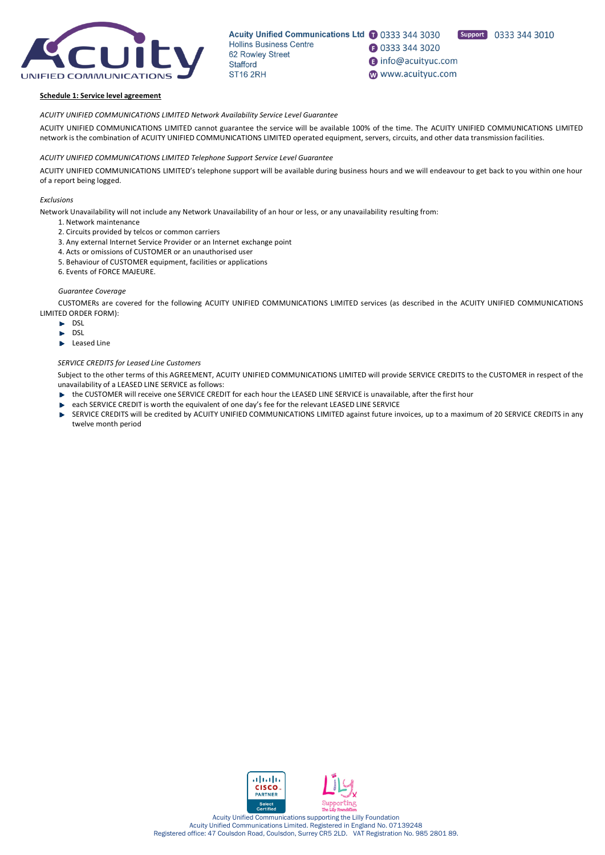

Acuity Unified Communications Ltd 1 0333 344 3030 **Hollins Business Centre 1** 0333 344 3020 62 Rowley Street nfo@acuityuc.com Stafford **ST16 2RH** www.acuityuc.com

Support 0333 344 3010

#### **Schedule 1: Service level agreement**

*ACUITY UNIFIED COMMUNICATIONS LIMITED Network Availability Service Level Guarantee*

ACUITY UNIFIED COMMUNICATIONS LIMITED cannot guarantee the service will be available 100% of the time. The ACUITY UNIFIED COMMUNICATIONS LIMITED network is the combination of ACUITY UNIFIED COMMUNICATIONS LIMITED operated equipment, servers, circuits, and other data transmission facilities.

### *ACUITY UNIFIED COMMUNICATIONS LIMITED Telephone Support Service Level Guarantee*

ACUITY UNIFIED COMMUNICATIONS LIMITED's telephone support will be available during business hours and we will endeavour to get back to you within one hour of a report being logged.

### *Exclusions*

Network Unavailability will not include any Network Unavailability of an hour or less, or any unavailability resulting from:

- 1. Network maintenance
- 2. Circuits provided by telcos or common carriers
- 3. Any external Internet Service Provider or an Internet exchange point
- 4. Acts or omissions of CUSTOMER or an unauthorised user
- 5. Behaviour of CUSTOMER equipment, facilities or applications
- 6. Events of FORCE MAJEURE.

### *Guarantee Coverage*

CUSTOMERs are covered for the following ACUITY UNIFIED COMMUNICATIONS LIMITED services (as described in the ACUITY UNIFIED COMMUNICATIONS LIMITED ORDER FORM):

- $\blacktriangleright$  DSL
- DSL
- Leased Line ь

# *SERVICE CREDITS for Leased Line Customers*

Subject to the other terms of this AGREEMENT, ACUITY UNIFIED COMMUNICATIONS LIMITED will provide SERVICE CREDITS to the CUSTOMER in respect of the unavailability of a LEASED LINE SERVICE as follows:

- the CUSTOMER will receive one SERVICE CREDIT for each hour the LEASED LINE SERVICE is unavailable, after the first hour
- each SERVICE CREDIT is worth the equivalent of one day's fee for the relevant LEASED LINE SERVICE
- SERVICE CREDITS will be credited by ACUITY UNIFIED COMMUNICATIONS LIMITED against future invoices, up to a maximum of 20 SERVICE CREDITS in any Þ twelve month period